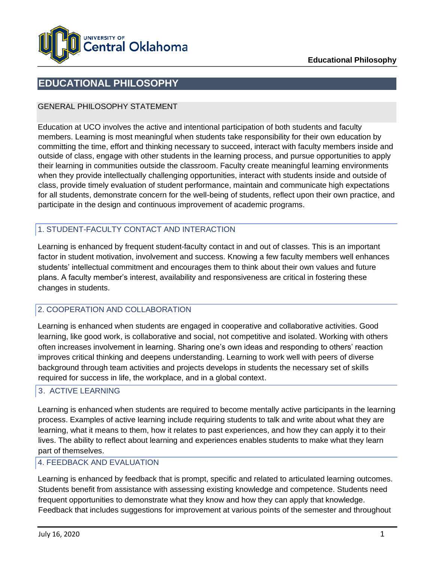

### **EDUCATIONAL PHILOSOPHY**

#### GENERAL PHILOSOPHY STATEMENT

Education at UCO involves the active and intentional participation of both students and faculty members. Learning is most meaningful when students take responsibility for their own education by committing the time, effort and thinking necessary to succeed, interact with faculty members inside and outside of class, engage with other students in the learning process, and pursue opportunities to apply their learning in communities outside the classroom. Faculty create meaningful learning environments when they provide intellectually challenging opportunities, interact with students inside and outside of class, provide timely evaluation of student performance, maintain and communicate high expectations for all students, demonstrate concern for the well-being of students, reflect upon their own practice, and participate in the design and continuous improvement of academic programs.

#### 1. STUDENT-FACULTY CONTACT AND INTERACTION

Learning is enhanced by frequent student-faculty contact in and out of classes. This is an important factor in student motivation, involvement and success. Knowing a few faculty members well enhances students' intellectual commitment and encourages them to think about their own values and future plans. A faculty member's interest, availability and responsiveness are critical in fostering these changes in students.

#### 2. COOPERATION AND COLLABORATION

Learning is enhanced when students are engaged in cooperative and collaborative activities. Good learning, like good work, is collaborative and social, not competitive and isolated. Working with others often increases involvement in learning. Sharing one's own ideas and responding to others' reaction improves critical thinking and deepens understanding. Learning to work well with peers of diverse background through team activities and projects develops in students the necessary set of skills required for success in life, the workplace, and in a global context.

#### 3. ACTIVE LEARNING

Learning is enhanced when students are required to become mentally active participants in the learning process. Examples of active learning include requiring students to talk and write about what they are learning, what it means to them, how it relates to past experiences, and how they can apply it to their lives. The ability to reflect about learning and experiences enables students to make what they learn part of themselves.

#### 4. FEEDBACK AND EVALUATION

Learning is enhanced by feedback that is prompt, specific and related to articulated learning outcomes. Students benefit from assistance with assessing existing knowledge and competence. Students need frequent opportunities to demonstrate what they know and how they can apply that knowledge. Feedback that includes suggestions for improvement at various points of the semester and throughout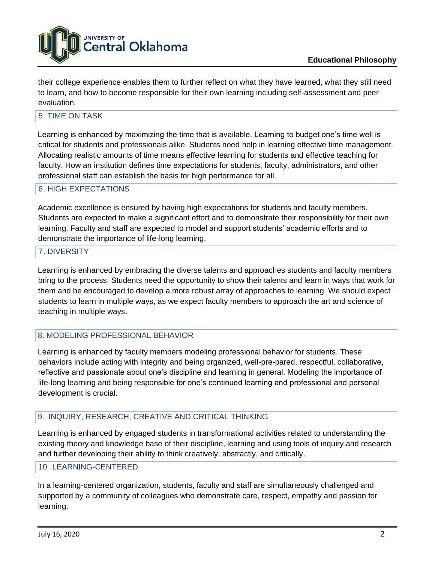

their college experience enables them to further reflect on what they have learned, what they still need to learn, and how to become responsible for their own learning including self-assessment and peer evaluation.

#### 5. TIME ON TASK

Learning is enhanced by maximizing the time that is available. Learning to budget one's time well is critical for students and professionals alike. Students need help in learning effective time management. Allocating realistic amounts of time means effective learning for students and effective teaching for faculty. How an institution defines time expectations for students, faculty, administrators, and other professional staff can establish the basis for high performance for all.

#### 6. HIGH EXPECTATIONS

Academic excellence is ensured by having high expectations for students and faculty members. Students are expected to make a significant effort and to demonstrate their responsibility for their own learning. Faculty and staff are expected to model and support students' academic efforts and to demonstrate the importance of life-long learning.

#### 7. DIVERSITY

Learning is enhanced by embracing the diverse talents and approaches students and faculty members bring to the process. Students need the opportunity to show their talents and learn in ways that work for them and be encouraged to develop a more robust array of approaches to learning. We should expect students to learn in multiple ways, as we expect faculty members to approach the art and science of teaching in multiple ways.

#### 8. MODELING PROFESSIONAL BEHAVIOR

Learning is enhanced by faculty members modeling professional behavior for students. These behaviors include acting with integrity and being organized, well-pre-pared, respectful, collaborative, reflective and passionate about one's discipline and learning in general. Modeling the importance of life-long learning and being responsible for one's continued learning and professional and personal development is crucial.

#### 9. INQUIRY, RESEARCH, CREATIVE AND CRITICAL THINKING

Learning is enhanced by engaged students in transformational activities related to understanding the existing theory and knowledge base of their discipline, learning and using tools of inquiry and research and further developing their ability to think creatively, abstractly, and critically.

#### 10. LEARNING-CENTERED

In a learning-centered organization, students, faculty and staff are simultaneously challenged and supported by a community of colleagues who demonstrate care, respect, empathy and passion for learning.